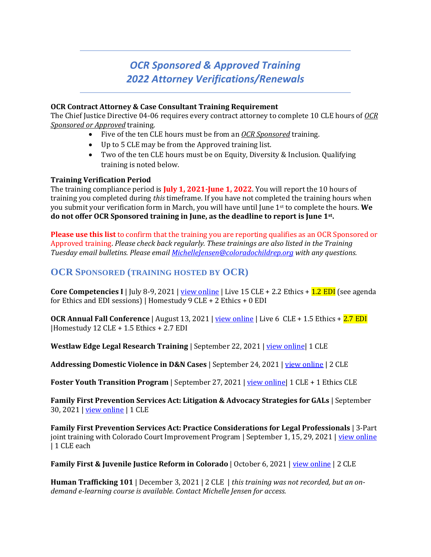# *OCR Sponsored & Approved Training 2022 Attorney Verifications/Renewals*

#### **OCR Contract Attorney & Case Consultant Training Requirement**

The Chief Justice Directive 04-06 requires every contract attorney to complete 10 CLE hours of *OCR Sponsored or Approved* training.

- Five of the ten CLE hours must be from an *OCR Sponsored* training.
- Up to 5 CLE may be from the Approved training list.
- Two of the ten CLE hours must be on Equity, Diversity & Inclusion. Qualifying training is noted below.

#### **Training Verification Period**

The training compliance period is **July 1, 2021-June 1, 2022**. You will report the 10 hours of training you completed during *this* timeframe. If you have not completed the training hours when you submit your verification form in March, you will have until June 1st to complete the hours. **We do not offer OCR Sponsored training in June, as the deadline to report is June 1st .**

**Please use this list** to confirm that the training you are reporting qualifies as an OCR Sponsored or Approved training. *Please check back regularly. These trainings are also listed in the Training Tuesday email bulletins. Please email [MichelleJensen@coloradochildrep.org](mailto:MichelleJensen@coloradochildrep.org) with any questions.* 

## **OCR SPONSORED (TRAINING HOSTED BY OCR)**

**Core Competencies I** | July 8-9, 2021 | [view online](https://coloradochildrep.org/core-competencies-i-orientation-for-new-attorneys/) | Live 15 CLE + 2.2 Ethics + 1.2 EDI (see agenda for Ethics and EDI sessions) | Homestudy 9 CLE + 2 Ethics + 0 EDI

**OCR Annual Fall Conference** | August 13, 2021 | <u>view online</u> | Live 6 CLE + 1.5 Ethics + 2.7 EDI |Homestudy 12 CLE + 1.5 Ethics + 2.7 EDI

**Westlaw Edge Legal Research Training** | September 22, 2021 [| view online|](https://coloradochildrep.org/westlaw-edge-legal-research-training/) 1 CLE

**Addressing Domestic Violence in D&N Cases** | September 24, 2021 | [view online](https://coloradochildrep.org/addressing-domestic-violence-in-dn-cases/) | 2 CLE

**Foster Youth Transition Program** | September 27, 2021 | view online | 1 CLE + 1 Ethics CLE

**Family First Prevention Services Act: Litigation & Advocacy Strategies for GALs** | September 30, 2021 [| view online](https://coloradochildrep.org/family-first-prevention-services-act-litigation-advocacy-strategies-for-gals/) | 1 CLE

**Family First Prevention Services Act: Practice Considerations for Legal Professionals** | 3-Part joint training with Colorado Court Improvement Program | September 1, 15, 29, 2021 | [view online](https://coloradochildrep.org/family-first-prevention-services-act-practice-considerations/) | 1 CLE each

**Family First & Juvenile Justice Reform in Colorado** | October 6, 2021 | [view online](https://coloradochildrep.org/family-first-juvenile-justice-reform-in-colorado/) | 2 CLE

**Human Trafficking 101** | December 3, 2021 | 2 CLE | *this training was not recorded, but an ondemand e-learning course is available. Contact Michelle Jensen for access.*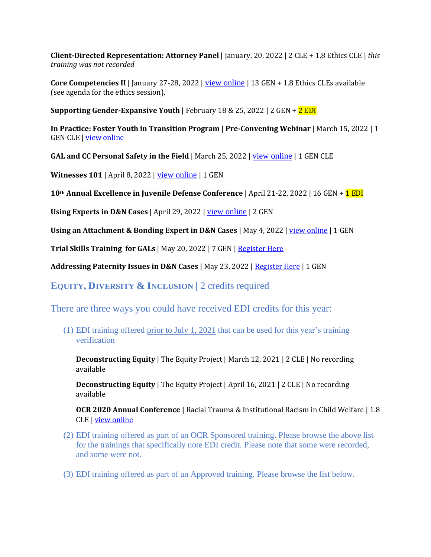**Client-Directed Representation: Attorney Panel** | January, 20, 2022 | 2 CLE + 1.8 Ethics CLE | *this training was not recorded*

**Core Competencies II** | January 27-28, 2022 | [view online](https://coloradochildrep.org/core-competencies-ii/) | 13 GEN + 1.8 Ethics CLEs available (see agenda for the ethics session).

**Supporting Gender-Expansive Youth** | February 18 & 25, 2022 | 2 GEN + 2 EDI

**In Practice: Foster Youth in Transition Program | Pre-Convening Webinar** | March 15, 2022 | 1 GEN CLE [| view online](https://coloradochildrep.org/in-practice-foster-youth-in-transition-program-pre-convening-webinar/)

**GAL and CC Personal Safety in the Field** | March 25, 2022 | [view online](https://coloradochildrep.org/personal-safety/) | 1 GEN CLE

**Witnesses 101** | April 8, 2022 | [view online](https://coloradochildrep.org/witnesses-101/) | 1 GEN

**10th Annual Excellence in Juvenile Defense Conference** | April 21-22, 2022 | 16 GEN + 1 EDI

**Using Experts in D&N Cases** | April 29, 2022 | <u>[view online](https://coloradochildrep.org/using-experts-in-dn-cases/)</u> | 2 GEN

**Using an Attachment & Bonding Expert in D&N Cases** | May 4, 2022 | [view online](https://coloradochildrep.org/using-an-attachment-bonding-expert/) | 1 GEN

**Trial Skills Training for GALs** | May 20, 2022 | 7 GEN | [Register Here](https://us06web.zoom.us/meeting/register/tZAufuuorDopE9CcrOO6J8z6Ci3AKboxT4G_)

**Addressing Paternity Issues in D&N Cases** | May 23, 2022 | [Register Here](https://us06web.zoom.us/meeting/register/tZEkcuusrzorG9M5Hps27kQXvH6_er40GHWx) | 1 GEN

**EQUITY, DIVERSITY & INCLUSION |** 2 credits required

There are three ways you could have received EDI credits for this year:

(1) EDI training offered prior to July 1, 2021 that can be used for this year's training verification

**Deconstructing Equity** | The Equity Project | March 12, 2021 | 2 CLE | No recording available

**Deconstructing Equity** | The Equity Project | April 16, 2021 | 2 CLE | No recording available

**OCR 2020 Annual Conference |** Racial Trauma & Institutional Racism in Child Welfare | 1.8 CLE | [view online](https://coloradochildrep.org/9-14-2020-9-15-2020-ocr-fall-conference/)

- (2) EDI training offered as part of an OCR Sponsored training. Please browse the above list for the trainings that specifically note EDI credit. Please note that some were recorded, and some were not.
- (3) EDI training offered as part of an Approved training. Please browse the list below.